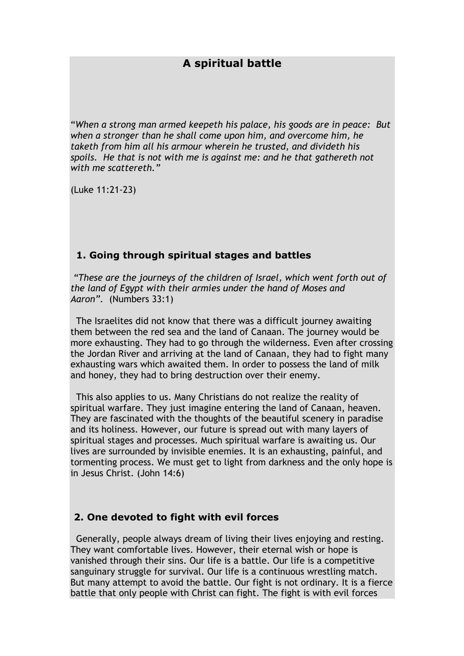# **A spiritual battle**

"*When a strong man armed keepeth his palace, his goods are in peace: But when a stronger than he shall come upon him, and overcome him, he taketh from him all his armour wherein he trusted, and divideth his spoils. He that is not with me is against me: and he that gathereth not with me scattereth."*

(Luke 11:21-23)

## **1. Going through spiritual stages and battles**

*"These are the journeys of the children of Israel, which went forth out of the land of Egypt with their armies under the hand of Moses and Aaron".* (Numbers 33:1)

The Israelites did not know that there was a difficult journey awaiting them between the red sea and the land of Canaan. The journey would be more exhausting. They had to go through the wilderness. Even after crossing the Jordan River and arriving at the land of Canaan, they had to fight many exhausting wars which awaited them. In order to possess the land of milk and honey, they had to bring destruction over their enemy.

This also applies to us. Many Christians do not realize the reality of spiritual warfare. They just imagine entering the land of Canaan, heaven. They are fascinated with the thoughts of the beautiful scenery in paradise and its holiness. However, our future is spread out with many layers of spiritual stages and processes. Much spiritual warfare is awaiting us. Our lives are surrounded by invisible enemies. It is an exhausting, painful, and tormenting process. We must get to light from darkness and the only hope is in Jesus Christ. (John 14:6)

### **2. One devoted to fight with evil forces**

Generally, people always dream of living their lives enjoying and resting. They want comfortable lives. However, their eternal wish or hope is vanished through their sins. Our life is a battle. Our life is a competitive sanguinary struggle for survival. Our life is a continuous wrestling match. But many attempt to avoid the battle. Our fight is not ordinary. It is a fierce battle that only people with Christ can fight. The fight is with evil forces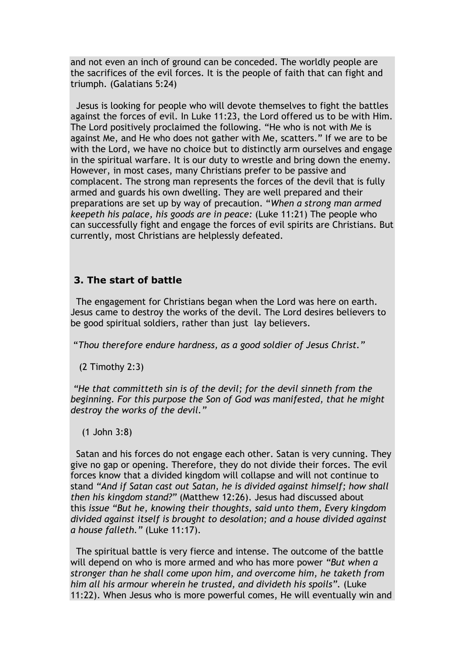and not even an inch of ground can be conceded. The worldly people are the sacrifices of the evil forces. It is the people of faith that can fight and triumph. (Galatians 5:24)

Jesus is looking for people who will devote themselves to fight the battles against the forces of evil. In Luke 11:23, the Lord offered us to be with Him. The Lord positively proclaimed the following. "He who is not with Me is against Me, and He who does not gather with Me, scatters." If we are to be with the Lord, we have no choice but to distinctly arm ourselves and engage in the spiritual warfare. It is our duty to wrestle and bring down the enemy. However, in most cases, many Christians prefer to be passive and complacent. The strong man represents the forces of the devil that is fully armed and guards his own dwelling. They are well prepared and their preparations are set up by way of precaution. "*When a strong man armed keepeth his palace, his goods are in peace:* (Luke 11:21) The people who can successfully fight and engage the forces of evil spirits are Christians. But currently, most Christians are helplessly defeated.

## **3. The start of battle**

The engagement for Christians began when the Lord was here on earth. Jesus came to destroy the works of the devil. The Lord desires believers to be good spiritual soldiers, rather than just lay believers.

"*Thou therefore endure hardness, as a good soldier of Jesus Christ."*

(2 Timothy 2:3)

*"He that committeth sin is of the devil; for the devil sinneth from the beginning. For this purpose the Son of God was manifested, that he might destroy the works of the devil."*

(1 John 3:8)

Satan and his forces do not engage each other. Satan is very cunning. They give no gap or opening. Therefore, they do not divide their forces. The evil forces know that a divided kingdom will collapse and will not continue to stand *"And if Satan cast out Satan, he is divided against himself; how shall then his kingdom stand?"* (Matthew 12:26). Jesus had discussed about this *issue "But he, knowing their thoughts, said unto them, Every kingdom divided against itself is brought to desolation; and a house divided against a house falleth."* (Luke 11:17).

The spiritual battle is very fierce and intense. The outcome of the battle will depend on who is more armed and who has more power *"But when a stronger than he shall come upon him, and overcome him, he taketh from him all his armour wherein he trusted, and divideth his spoils".* (Luke 11:22). When Jesus who is more powerful comes, He will eventually win and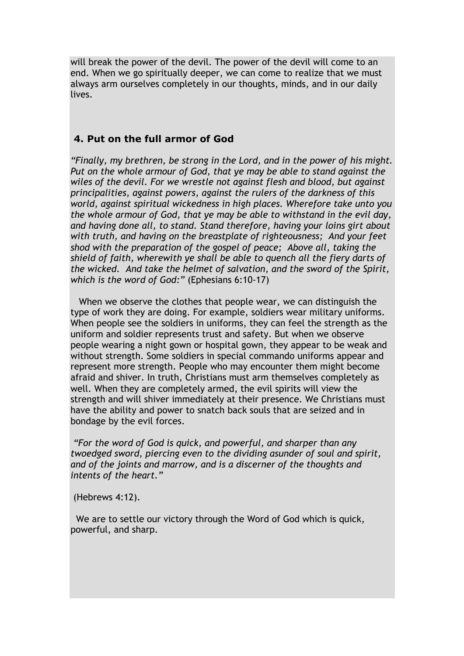will break the power of the devil. The power of the devil will come to an end. When we go spiritually deeper, we can come to realize that we must always arm ourselves completely in our thoughts, minds, and in our daily lives.

#### **4. Put on the full armor of God**

*"Finally, my brethren, be strong in the Lord, and in the power of his might. Put on the whole armour of God, that ye may be able to stand against the wiles of the devil. For we wrestle not against flesh and blood, but against principalities, against powers, against the rulers of the darkness of this world, against spiritual wickedness in high places. Wherefore take unto you the whole armour of God, that ye may be able to withstand in the evil day, and having done all, to stand. Stand therefore, having your loins girt about with truth, and having on the breastplate of righteousness; And your feet shod with the preparation of the gospel of peace; Above all, taking the shield of faith, wherewith ye shall be able to quench all the fiery darts of the wicked. And take the helmet of salvation, and the sword of the Spirit, which is the word of God:"* (Ephesians 6:10-17)

When we observe the clothes that people wear, we can distinguish the type of work they are doing. For example, soldiers wear military uniforms. When people see the soldiers in uniforms, they can feel the strength as the uniform and soldier represents trust and safety. But when we observe people wearing a night gown or hospital gown, they appear to be weak and without strength. Some soldiers in special commando uniforms appear and represent more strength. People who may encounter them might become afraid and shiver. In truth, Christians must arm themselves completely as well. When they are completely armed, the evil spirits will view the strength and will shiver immediately at their presence. We Christians must have the ability and power to snatch back souls that are seized and in bondage by the evil forces.

*"For the word of God is quick, and powerful, and sharper than any twoedged sword, piercing even to the dividing asunder of soul and spirit, and of the joints and marrow, and is a discerner of the thoughts and intents of the heart."*

(Hebrews 4:12).

We are to settle our victory through the Word of God which is quick, powerful, and sharp.